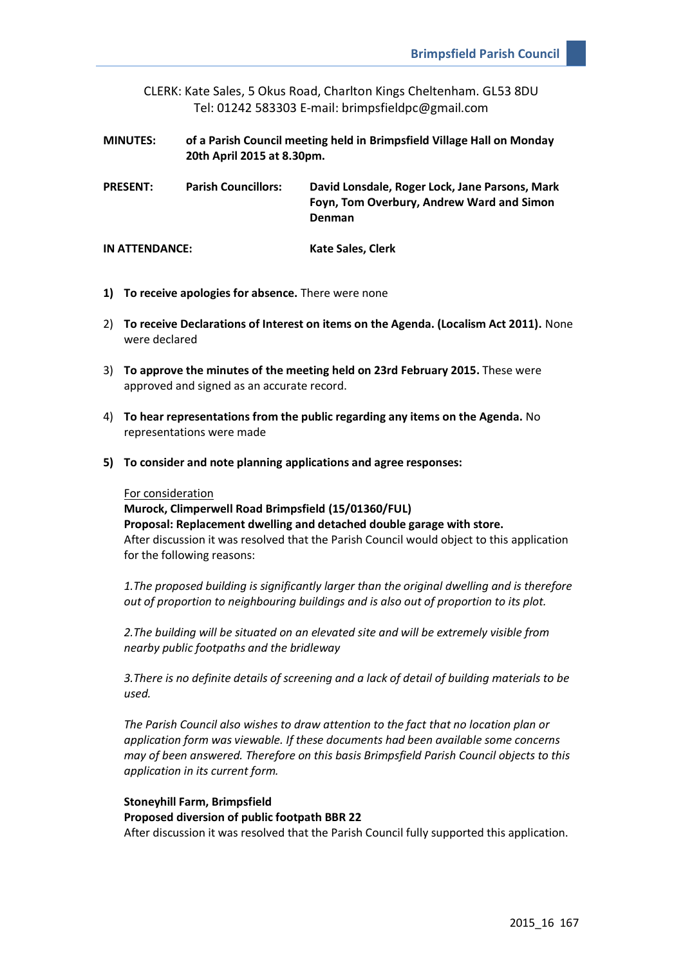CLERK: Kate Sales, 5 Okus Road, Charlton Kings Cheltenham. GL53 8DU Tel: 01242 583303 E-mail: brimpsfieldpc@gmail.com

- **MINUTES: of a Parish Council meeting held in Brimpsfield Village Hall on Monday 20th April 2015 at 8.30pm.**
- **PRESENT: Parish Councillors: David Lonsdale, Roger Lock, Jane Parsons, Mark Foyn, Tom Overbury, Andrew Ward and Simon Denman**

**IN ATTENDANCE: Kate Sales, Clerk**

- **1) To receive apologies for absence.** There were none
- 2) **To receive Declarations of Interest on items on the Agenda. (Localism Act 2011).** None were declared
- 3) **To approve the minutes of the meeting held on 23rd February 2015.** These were approved and signed as an accurate record.
- 4) **To hear representations from the public regarding any items on the Agenda.** No representations were made
- **5) To consider and note planning applications and agree responses:**

### For consideration

**Murock, Climperwell Road Brimpsfield (15/01360/FUL) Proposal: Replacement dwelling and detached double garage with store.**  After discussion it was resolved that the Parish Council would object to this application for the following reasons:

*1.The proposed building is significantly larger than the original dwelling and is therefore out of proportion to neighbouring buildings and is also out of proportion to its plot.* 

*2.The building will be situated on an elevated site and will be extremely visible from nearby public footpaths and the bridleway*

*3.There is no definite details of screening and a lack of detail of building materials to be used.*

*The Parish Council also wishes to draw attention to the fact that no location plan or application form was viewable. If these documents had been available some concerns may of been answered. Therefore on this basis Brimpsfield Parish Council objects to this application in its current form.*

**Stoneyhill Farm, Brimpsfield Proposed diversion of public footpath BBR 22** After discussion it was resolved that the Parish Council fully supported this application.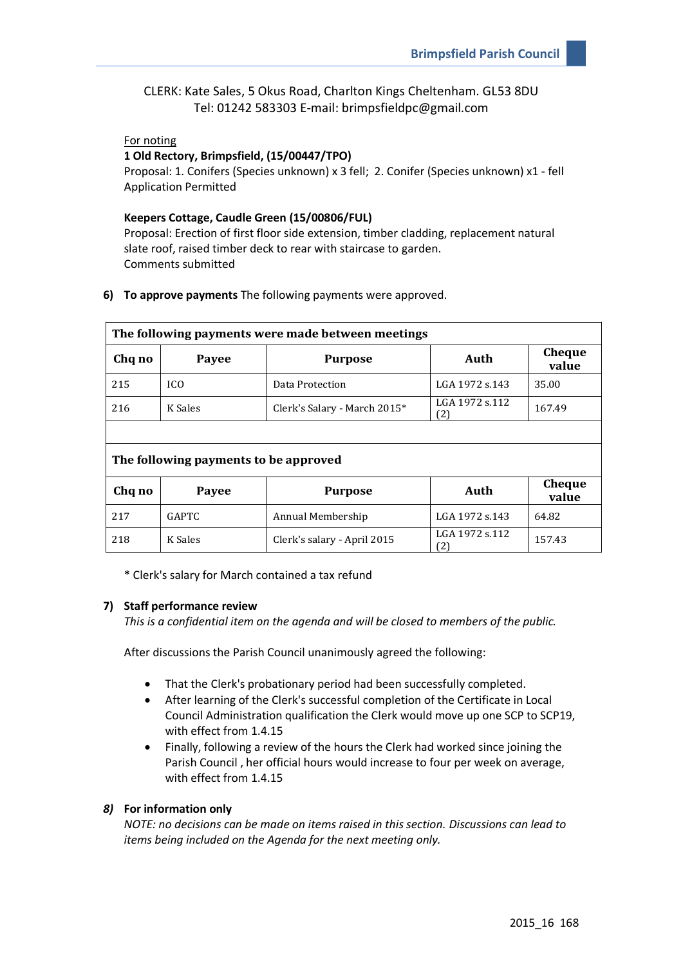CLERK: Kate Sales, 5 Okus Road, Charlton Kings Cheltenham. GL53 8DU Tel: 01242 583303 E-mail: brimpsfieldpc@gmail.com

## For noting

### **1 Old Rectory, Brimpsfield, (15/00447/TPO)**

Proposal: 1. Conifers (Species unknown) x 3 fell; 2. Conifer (Species unknown) x1 - fell Application Permitted

### **Keepers Cottage, Caudle Green (15/00806/FUL)**

Proposal: Erection of first floor side extension, timber cladding, replacement natural slate roof, raised timber deck to rear with staircase to garden. Comments submitted

**6) To approve payments** The following payments were approved.

| The following payments were made between meetings |              |                              |                       |                        |
|---------------------------------------------------|--------------|------------------------------|-----------------------|------------------------|
| Chq no                                            | Payee        | <b>Purpose</b>               | Auth                  | <b>Cheque</b><br>value |
| 215                                               | ICO          | Data Protection              | LGA 1972 s.143        | 35.00                  |
| 216                                               | K Sales      | Clerk's Salary - March 2015* | LGA 1972 s.112<br>(2) | 167.49                 |
|                                                   |              |                              |                       |                        |
| The following payments to be approved             |              |                              |                       |                        |
| Chq no                                            | Payee        | <b>Purpose</b>               | Auth                  | Cheque<br>value        |
| 217                                               | <b>GAPTC</b> | Annual Membership            | LGA 1972 s.143        | 64.82                  |
| 218                                               | K Sales      | Clerk's salary - April 2015  | LGA 1972 s.112<br>(2) | 157.43                 |

\* Clerk's salary for March contained a tax refund

## **7) Staff performance review**

*This is a confidential item on the agenda and will be closed to members of the public.* 

After discussions the Parish Council unanimously agreed the following:

- That the Clerk's probationary period had been successfully completed.
- After learning of the Clerk's successful completion of the Certificate in Local Council Administration qualification the Clerk would move up one SCP to SCP19, with effect from 1.4.15
- Finally, following a review of the hours the Clerk had worked since joining the Parish Council , her official hours would increase to four per week on average, with effect from 1.4.15

# *8)* **For information only**

*NOTE: no decisions can be made on items raised in this section. Discussions can lead to items being included on the Agenda for the next meeting only.*